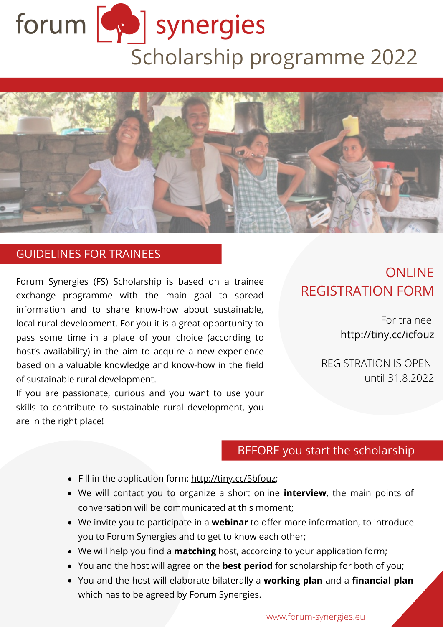# forum <a>
synergies Scholarship programme 2022



#### GUIDELINES FOR TRAINEES

Forum Synergies (FS) Scholarship is based on a trainee exchange programme with the main goal to spread information and to share know-how about sustainable, local rural development. For you it is a great opportunity to pass some time in a place of your choice (according to host's availability) in the aim to acquire a new experience based on a valuable knowledge and know-how in the field of sustainable rural development.

If you are passionate, curious and you want to use your skills to contribute to sustainable rural development, you are in the right place!

# **ONLINE** REGISTRATION FORM

For trainee: [http://tiny.cc/icfouz](http://tiny.cc/5cfouz)

REGISTRATION IS OPEN until 31.8.2022

## BEFORE you start the scholarship

- Fill in the application form: [http://tiny.cc/5bfouz;](http://tiny.cc/5cfouz)
- We will contact you to organize a short online **interview**, the main points of conversation will be communicated at this moment;
- We invite you to participate in a **webinar** to offer more information, to introduce you to Forum Synergies and to get to know each other;
- We will help you find a **matching** host, according to your application form;
- You and the host will agree on the **best period** for scholarship for both of you;
- You and the host will elaborate bilaterally a **working plan** and a **financial plan** which has to be agreed by Forum Synergies.

www.forum-synergies.eu